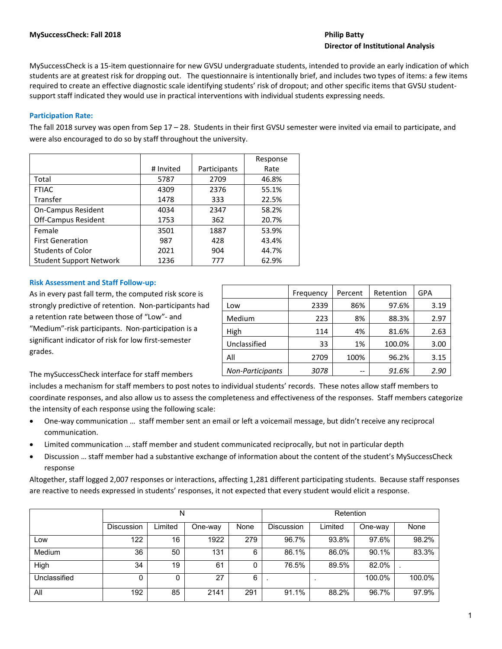# **Director of Institutional Analysis**

MySuccessCheck is a 15‐item questionnaire for new GVSU undergraduate students, intended to provide an early indication of which students are at greatest risk for dropping out. The questionnaire is intentionally brief, and includes two types of items: a few items required to create an effective diagnostic scale identifying students' risk of dropout; and other specific items that GVSU student‐ support staff indicated they would use in practical interventions with individual students expressing needs.

# **Participation Rate:**

The fall 2018 survey was open from Sep 17 – 28. Students in their first GVSU semester were invited via email to participate, and were also encouraged to do so by staff throughout the university.

|                                |           |              | Response |
|--------------------------------|-----------|--------------|----------|
|                                | # Invited | Participants | Rate     |
| Total                          | 5787      | 2709         | 46.8%    |
| <b>FTIAC</b>                   | 4309      | 2376         | 55.1%    |
| <b>Transfer</b>                | 1478      | 333          | 22.5%    |
| <b>On-Campus Resident</b>      | 4034      | 2347         | 58.2%    |
| <b>Off-Campus Resident</b>     | 1753      | 362          | 20.7%    |
| Female                         | 3501      | 1887         | 53.9%    |
| <b>First Generation</b>        | 987       | 428          | 43.4%    |
| <b>Students of Color</b>       | 2021      | 904          | 44.7%    |
| <b>Student Support Network</b> | 1236      | 777          | 62.9%    |

## **Risk Assessment and Staff Follow‐up:**

As in every past fall term, the computed risk score is strongly predictive of retention. Non-participants had a retention rate between those of "Low"‐ and "Medium"‐risk participants. Non‐participation is a significant indicator of risk for low first‐semester grades.

|                         | Frequency | Percent | Retention | GPA  |
|-------------------------|-----------|---------|-----------|------|
| Low                     | 2339      | 86%     | 97.6%     | 3.19 |
| Medium                  | 223       | 8%      | 88.3%     | 2.97 |
| High                    | 114       | 4%      | 81.6%     | 2.63 |
| Unclassified            | 33        | 1%      | 100.0%    | 3.00 |
| All                     | 2709      | 100%    | 96.2%     | 3.15 |
| <b>Non-Participants</b> | 3078      | --      | 91.6%     | 2.90 |

The mySuccessCheck interface for staff members

includes a mechanism for staff members to post notes to individual students' records. These notes allow staff members to coordinate responses, and also allow us to assess the completeness and effectiveness of the responses. Staff members categorize the intensity of each response using the following scale:

- One-way communication ... staff member sent an email or left a voicemail message, but didn't receive any reciprocal communication.
- Limited communication … staff member and student communicated reciprocally, but not in particular depth
- Discussion … staff member had a substantive exchange of information about the content of the student's MySuccessCheck response

Altogether, staff logged 2,007 responses or interactions, affecting 1,281 different participating students. Because staff responses are reactive to needs expressed in students' responses, it not expected that every student would elicit a response.

|              |                   | N       |         |      | Retention         |         |         |        |  |  |
|--------------|-------------------|---------|---------|------|-------------------|---------|---------|--------|--|--|
|              | <b>Discussion</b> | Limited | One-way | None | <b>Discussion</b> | Limited | One-way | None   |  |  |
| Low          | 122               | 16      | 1922    | 279  | 96.7%             | 93.8%   | 97.6%   | 98.2%  |  |  |
| Medium       | 36                | 50      | 131     | 6    | 86.1%             | 86.0%   | 90.1%   | 83.3%  |  |  |
| High         | 34                | 19      | 61      | 0    | 76.5%             | 89.5%   | 82.0%   |        |  |  |
| Unclassified | 0                 | 0       | 27      | 6    |                   |         | 100.0%  | 100.0% |  |  |
| All          | 192               | 85      | 2141    | 291  | 91.1%             | 88.2%   | 96.7%   | 97.9%  |  |  |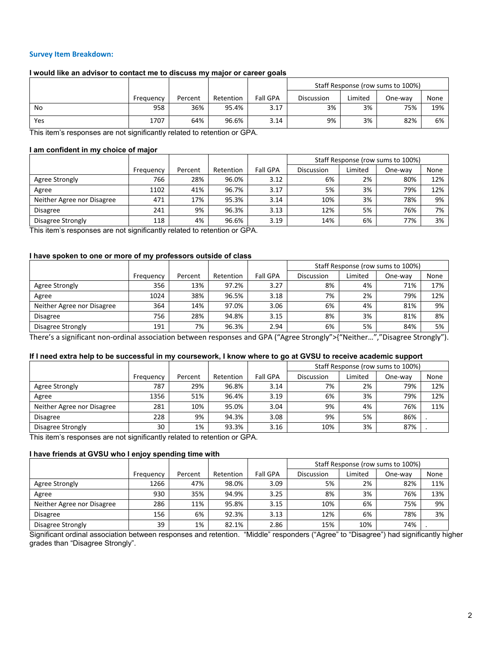# **Survey Item Breakdown:**

# **I would like an advisor to contact me to discuss my major or career goals**

|     |           |         |           |                 |            |         | Staff Response (row sums to 100%) |      |
|-----|-----------|---------|-----------|-----------------|------------|---------|-----------------------------------|------|
|     | Frequency | Percent | Retention | <b>Fall GPA</b> | Discussion | Limited | One-wav                           | None |
| No  | 958       | 36%     | 95.4%     | 3.17            | 3%         | 3%      | 75%                               | 19%  |
| Yes | 1707      | 64%     | 96.6%     | 3.14            | 9%         | 3%      | 82%                               | 6%   |

This item's responses are not significantly related to retention or GPA.

## **I am confident in my choice of major**

|                            |           |         |           |                 |                   |         | Staff Response (row sums to 100%) |      |
|----------------------------|-----------|---------|-----------|-----------------|-------------------|---------|-----------------------------------|------|
|                            | Frequency | Percent | Retention | <b>Fall GPA</b> | <b>Discussion</b> | Limited | One-wav                           | None |
| Agree Strongly             | 766       | 28%     | 96.0%     | 3.12            | 6%                | 2%      | 80%                               | 12%  |
| Agree                      | 1102      | 41%     | 96.7%     | 3.17            | 5%                | 3%      | 79%                               | 12%  |
| Neither Agree nor Disagree | 471       | 17%     | 95.3%     | 3.14            | 10%               | 3%      | 78%                               | 9%   |
| <b>Disagree</b>            | 241       | 9%      | 96.3%     | 3.13            | 12%               | 5%      | 76%                               | 7%   |
| Disagree Strongly          | 118       | 4%      | 96.6%     | 3.19            | 14%               | 6%      | 77%                               | 3%   |

This item's responses are not significantly related to retention or GPA.

## **I have spoken to one or more of my professors outside of class**

|                            |           |         |           |                 |                   |         | Staff Response (row sums to 100%) |      |
|----------------------------|-----------|---------|-----------|-----------------|-------------------|---------|-----------------------------------|------|
|                            | Frequency | Percent | Retention | <b>Fall GPA</b> | <b>Discussion</b> | Limited | One-wav                           | None |
| Agree Strongly             | 356       | 13%     | 97.2%     | 3.27            | 8%                | 4%      | 71%                               | 17%  |
| Agree                      | 1024      | 38%     | 96.5%     | 3.18            | 7%                | 2%      | 79%                               | 12%  |
| Neither Agree nor Disagree | 364       | 14%     | 97.0%     | 3.06            | 6%                | 4%      | 81%                               | 9%   |
| <b>Disagree</b>            | 756       | 28%     | 94.8%     | 3.15            | 8%                | 3%      | 81%                               | 8%   |
| Disagree Strongly          | 191       | 7%      | 96.3%     | 2.94            | 6%                | 5%      | 84%                               | 5%   |

There's a significant non‐ordinal association between responses and GPA ("Agree Strongly">{"Neither…","Disagree Strongly").

## **If I need extra help to be successful in my coursework, I know where to go at GVSU to receive academic support**

|                            |           |         |           |                 |                   |         | Staff Response (row sums to 100%) |      |
|----------------------------|-----------|---------|-----------|-----------------|-------------------|---------|-----------------------------------|------|
|                            | Frequency | Percent | Retention | <b>Fall GPA</b> | <b>Discussion</b> | Limited | One-way                           | None |
| Agree Strongly             | 787       | 29%     | 96.8%     | 3.14            | 7%                | 2%      | 79%                               | 12%  |
| Agree                      | 1356      | 51%     | 96.4%     | 3.19            | 6%                | 3%      | 79%                               | 12%  |
| Neither Agree nor Disagree | 281       | 10%     | 95.0%     | 3.04            | 9%                | 4%      | 76%                               | 11%  |
| <b>Disagree</b>            | 228       | 9%      | 94.3%     | 3.08            | 9%                | 5%      | 86%                               |      |
| Disagree Strongly          | 30        | 1%      | 93.3%     | 3.16            | 10%               | 3%      | 87%                               |      |

This item's responses are not significantly related to retention or GPA.

#### **I have friends at GVSU who I enjoy spending time with**

|                            |           |         |           |                 |            |         | Staff Response (row sums to 100%) |      |
|----------------------------|-----------|---------|-----------|-----------------|------------|---------|-----------------------------------|------|
|                            | Frequency | Percent | Retention | <b>Fall GPA</b> | Discussion | Limited | One-wav                           | None |
| Agree Strongly             | 1266      | 47%     | 98.0%     | 3.09            | 5%         | 2%      | 82%                               | 11%  |
| Agree                      | 930       | 35%     | 94.9%     | 3.25            | 8%         | 3%      | 76%                               | 13%  |
| Neither Agree nor Disagree | 286       | 11%     | 95.8%     | 3.15            | 10%        | 6%      | 75%                               | 9%   |
| <b>Disagree</b>            | 156       | 6%      | 92.3%     | 3.13            | 12%        | 6%      | 78%                               | 3%   |
| Disagree Strongly          | 39        | 1%      | 82.1%     | 2.86            | 15%        | 10%     | 74%                               |      |

Significant ordinal association between responses and retention. "Middle" responders ("Agree" to "Disagree") had significantly higher grades than "Disagree Strongly".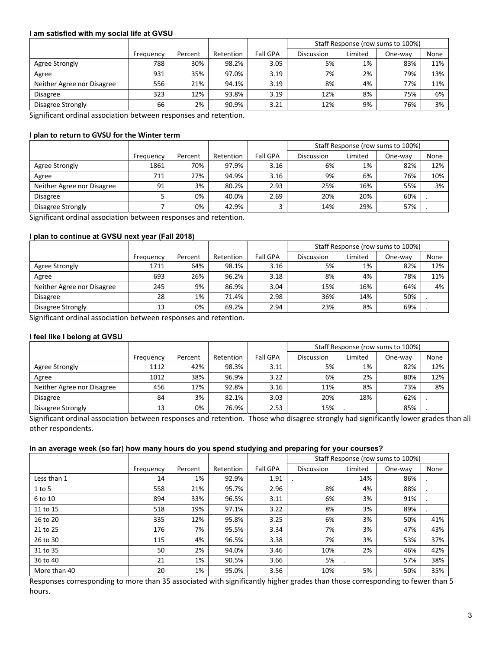#### **I am satisfied with my social life at GVSU**

|                            |           |         |           |                 |                   |         | Staff Response (row sums to 100%) |      |
|----------------------------|-----------|---------|-----------|-----------------|-------------------|---------|-----------------------------------|------|
|                            | Frequency | Percent | Retention | <b>Fall GPA</b> | <b>Discussion</b> | Limited | One-wav                           | None |
| Agree Strongly             | 788       | 30%     | 98.2%     | 3.05            | 5%                | 1%      | 83%                               | 11%  |
| Agree                      | 931       | 35%     | 97.0%     | 3.19            | 7%                | 2%      | 79%                               | 13%  |
| Neither Agree nor Disagree | 556       | 21%     | 94.1%     | 3.19            | 8%                | 4%      | 77%                               | 11%  |
| <b>Disagree</b>            | 323       | 12%     | 93.8%     | 3.19            | 12%               | 8%      | 75%                               | 6%   |
| Disagree Strongly          | 66        | 2%      | 90.9%     | 3.21            | 12%               | 9%      | 76%                               | 3%   |

Significant ordinal association between responses and retention.

# **I plan to return to GVSU for the Winter term**

|                            |           |         |           |                 |                   |         | Staff Response (row sums to 100%) |      |
|----------------------------|-----------|---------|-----------|-----------------|-------------------|---------|-----------------------------------|------|
|                            | Frequency | Percent | Retention | <b>Fall GPA</b> | <b>Discussion</b> | Limited | One-wav                           | None |
| Agree Strongly             | 1861      | 70%     | 97.9%     | 3.16            | 6%                | 1%      | 82%                               | 12%  |
| Agree                      | 711       | 27%     | 94.9%     | 3.16            | 9%                | 6%      | 76%                               | 10%  |
| Neither Agree nor Disagree | 91        | 3%      | 80.2%     | 2.93            | 25%               | 16%     | 55%                               | 3%   |
| <b>Disagree</b>            |           | 0%      | 40.0%     | 2.69            | 20%               | 20%     | 60%                               |      |
| Disagree Strongly          |           | 0%      | 42.9%     |                 | 14%               | 29%     | 57%                               |      |

Significant ordinal association between responses and retention.

#### **I plan to continue at GVSU next year (Fall 2018)**

|                            |           |         |           |                 |                   |         | Staff Response (row sums to 100%) |      |
|----------------------------|-----------|---------|-----------|-----------------|-------------------|---------|-----------------------------------|------|
|                            | Frequency | Percent | Retention | <b>Fall GPA</b> | <b>Discussion</b> | Limited | One-wav                           | None |
| Agree Strongly             | 1711      | 64%     | 98.1%     | 3.16            | 5%                | 1%      | 82%                               | 12%  |
| Agree                      | 693       | 26%     | 96.2%     | 3.18            | 8%                | 4%      | 78%                               | 11%  |
| Neither Agree nor Disagree | 245       | 9%      | 86.9%     | 3.04            | 15%               | 16%     | 64%                               | 4%   |
| <b>Disagree</b>            | 28        | 1%      | 71.4%     | 2.98            | 36%               | 14%     | 50%                               |      |
| Disagree Strongly          | 13        | 0%      | 69.2%     | 2.94            | 23%               | 8%      | 69%                               |      |

Significant ordinal association between responses and retention.

# **I feel like I belong at GVSU**

|                            |           |         |           |                 |                   |         | Staff Response (row sums to 100%) |      |
|----------------------------|-----------|---------|-----------|-----------------|-------------------|---------|-----------------------------------|------|
|                            | Frequency | Percent | Retention | <b>Fall GPA</b> | <b>Discussion</b> | Limited | One-wav                           | None |
| Agree Strongly             | 1112      | 42%     | 98.3%     | 3.11            | 5%                | 1%      | 82%                               | 12%  |
| Agree                      | 1012      | 38%     | 96.9%     | 3.22            | 6%                | 2%      | 80%                               | 12%  |
| Neither Agree nor Disagree | 456       | 17%     | 92.8%     | 3.16            | 11%               | 8%      | 73%                               | 8%   |
| <b>Disagree</b>            | 84        | 3%      | 82.1%     | 3.03            | 20%               | 18%     | 62%                               |      |
| Disagree Strongly          | 13        | 0%      | 76.9%     | 2.53            | 15%               |         | 85%                               |      |

Significant ordinal association between responses and retention. Those who disagree strongly had significantly lower grades than all other respondents.

#### **In an average week (so far) how many hours do you spend studying and preparing for your courses?**

|              |           |         |           |                 | Staff Response (row sums to 100%) |         |         |      |
|--------------|-----------|---------|-----------|-----------------|-----------------------------------|---------|---------|------|
|              | Frequency | Percent | Retention | <b>Fall GPA</b> | <b>Discussion</b>                 | Limited | One-way | None |
| Less than 1  | 14        | 1%      | 92.9%     | 1.91            |                                   | 14%     | 86%     |      |
| $1$ to 5     | 558       | 21%     | 95.7%     | 2.96            | 8%                                | 4%      | 88%     |      |
| 6 to 10      | 894       | 33%     | 96.5%     | 3.11            | 6%                                | 3%      | 91%     |      |
| 11 to 15     | 518       | 19%     | 97.1%     | 3.22            | 8%                                | 3%      | 89%     |      |
| 16 to 20     | 335       | 12%     | 95.8%     | 3.25            | 6%                                | 3%      | 50%     | 41%  |
| 21 to 25     | 176       | 7%      | 95.5%     | 3.34            | 7%                                | 3%      | 47%     | 43%  |
| 26 to 30     | 115       | 4%      | 96.5%     | 3.38            | 7%                                | 3%      | 53%     | 37%  |
| 31 to 35     | 50        | 2%      | 94.0%     | 3.46            | 10%                               | 2%      | 46%     | 42%  |
| 36 to 40     | 21        | 1%      | 90.5%     | 3.66            | 5%                                |         | 57%     | 38%  |
| More than 40 | 20        | 1%      | 95.0%     | 3.56            | 10%                               | 5%      | 50%     | 35%  |

Responses corresponding to more than 35 associated with significantly higher grades than those corresponding to fewer than 5 hours.